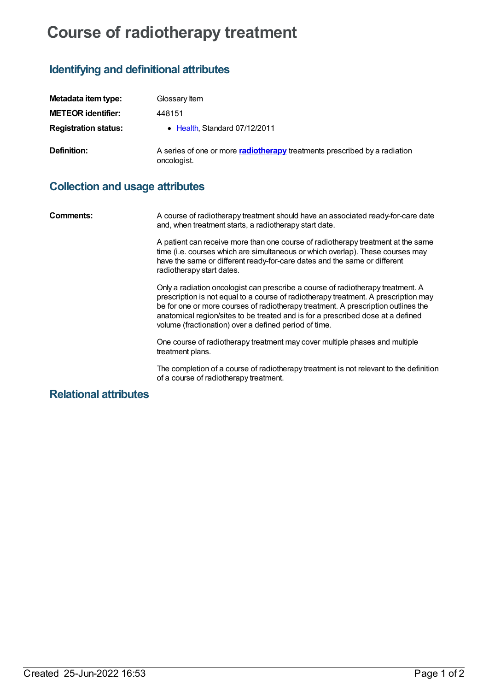# **Course of radiotherapy treatment**

# **Identifying and definitional attributes**

| Metadata item type:         | Glossary Item                                                                                   |
|-----------------------------|-------------------------------------------------------------------------------------------------|
| <b>METEOR identifier:</b>   | 448151                                                                                          |
| <b>Registration status:</b> | • Health, Standard 07/12/2011                                                                   |
| Definition:                 | A series of one or more <b>radiotherapy</b> treatments prescribed by a radiation<br>oncologist. |

## **Collection and usage attributes**

**Comments:** A course of radiotherapy treatment should have an associated ready-for-care date and, when treatment starts, a radiotherapy start date.

> A patient can receive more than one course of radiotherapy treatment at the same time (i.e. courses which are simultaneous or which overlap). These courses may have the same or different ready-for-care dates and the same or different radiotherapy start dates.

> Only a radiation oncologist can prescribe a course of radiotherapy treatment. A prescription is not equal to a course of radiotherapy treatment. A prescription may be for one or more courses of radiotherapy treatment. A prescription outlines the anatomical region/sites to be treated and is for a prescribed dose at a defined volume (fractionation) over a defined period of time.

One course of radiotherapy treatment may cover multiple phases and multiple treatment plans.

The completion of a course of radiotherapy treatment is not relevant to the definition of a course of radiotherapy treatment.

### **Relational attributes**